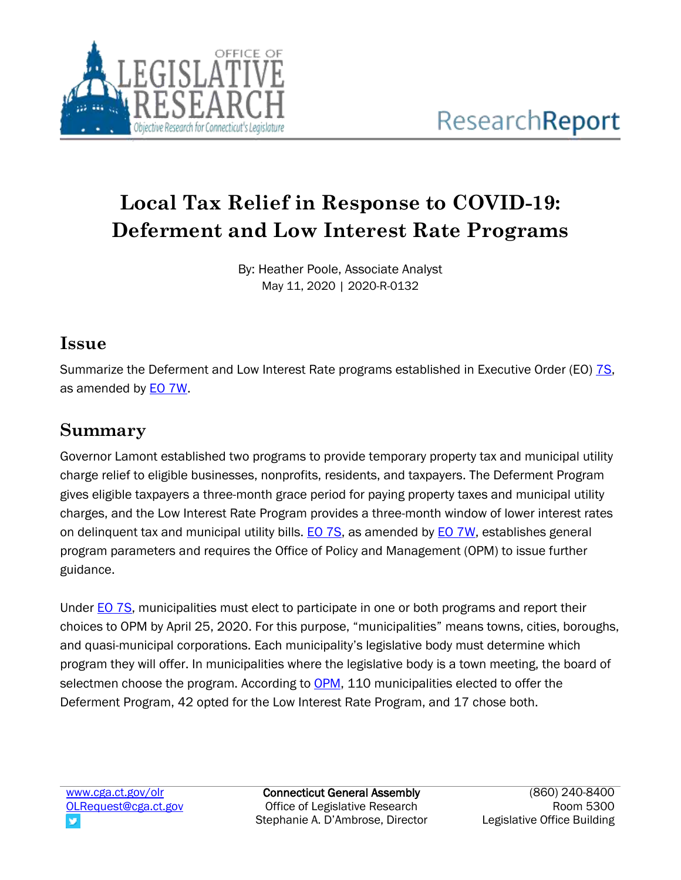

# **Local Tax Relief in Response to COVID-19: Deferment and Low Interest Rate Programs**

By: Heather Poole, Associate Analyst May 11, 2020 | 2020-R-0132

#### **Issue**

Summarize the Deferment and Low Interest Rate programs established in Executive Order (EO) [7S,](https://portal.ct.gov/-/media/Office-of-the-Governor/Executive-Orders/Lamont-Executive-Orders/Executive-Order-No-7S.pdf) as amended by **EO 7W**.

# **Summary**

Governor Lamont established two programs to provide temporary property tax and municipal utility charge relief to eligible businesses, nonprofits, residents, and taxpayers. The Deferment Program gives eligible taxpayers a three-month grace period for paying property taxes and municipal utility charges, and the Low Interest Rate Program provides a three-month window of lower interest rates on delinquent tax and municipal utility bills. [EO 7S,](https://portal.ct.gov/-/media/Office-of-the-Governor/Executive-Orders/Lamont-Executive-Orders/Executive-Order-No-7S.pdf) as amended by EO [7W,](https://portal.ct.gov/-/media/Office-of-the-Governor/Executive-Orders/Lamont-Executive-Orders/Executive-Order-No-7W.pdf) establishes general program parameters and requires the Office of Policy and Management (OPM) to issue further guidance.

Under [EO 7S,](https://portal.ct.gov/-/media/Office-of-the-Governor/Executive-Orders/Lamont-Executive-Orders/Executive-Order-No-7S.pdf) municipalities must elect to participate in one or both programs and report their choices to OPM by April 25, 2020. For this purpose, "municipalities" means towns, cities, boroughs, and quasi-municipal corporations. Each municipality's legislative body must determine which program they will offer. In municipalities where the legislative body is a town meeting, the board of selectmen choose the program. According to [OPM,](https://portal.ct.gov/-/media/OPM/IGPP-Data-Grants-Mgmt/COVID19-IGPP-Documents/Municipal-Option-Certification-List-05042020.pdf?la=en) 110 municipalities elected to offer the Deferment Program, 42 opted for the Low Interest Rate Program, and 17 chose both.

Connecticut General Assembly Office of Legislative Research Stephanie A. D'Ambrose, Director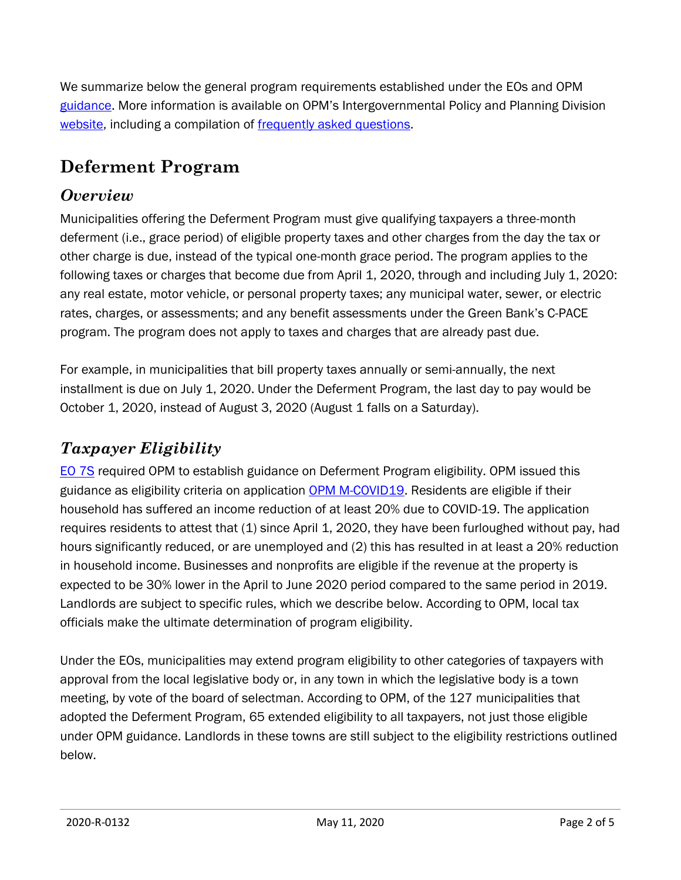We summarize below the general program requirements established under the EOs and OPM [guidance](https://portal.ct.gov/-/media/OPM/IGPP-Data-Grants-Mgmt/COVID19-IGPP-Documents/Exec-Order-7S-OPM-GuidanceRevision-for-04-25-2020.pdf?la=en). More information is available on OPM's Intergovernmental Policy and Planning Division [website,](https://portal.ct.gov/OPM/IGPP-MAIN/IGPP-Home-Page) including a compilation of [frequently asked questions.](https://portal.ct.gov/-/media/OPM/IGPP-Data-Grants-Mgmt/COVID19-IGPP-Documents/EO-7S-and-7W-FAQ-DocumentRevised04-25-2020.pdf?la=en)

# **Deferment Program**

#### *Overview*

Municipalities offering the Deferment Program must give qualifying taxpayers a three-month deferment (i.e., grace period) of eligible property taxes and other charges from the day the tax or other charge is due, instead of the typical one-month grace period. The program applies to the following taxes or charges that become due from April 1, 2020, through and including July 1, 2020: any real estate, motor vehicle, or personal property taxes; any municipal water, sewer, or electric rates, charges, or assessments; and any benefit assessments under the Green Bank's C-PACE program. The program does not apply to taxes and charges that are already past due.

For example, in municipalities that bill property taxes annually or semi-annually, the next installment is due on July 1, 2020. Under the Deferment Program, the last day to pay would be October 1, 2020, instead of August 3, 2020 (August 1 falls on a Saturday).

### *Taxpayer Eligibility*

[EO 7S](https://portal.ct.gov/-/media/Office-of-the-Governor/Executive-Orders/Lamont-Executive-Orders/Executive-Order-No-7S.pdf) required OPM to establish guidance on Deferment Program eligibility. OPM issued this guidance as eligibility criteria on application [OPM M-COVID19.](https://portal.ct.gov/-/media/OPM/IGPP-Data-Grants-Mgmt/COVID19-IGPP-Documents/Municipal-Tax-Relief-Deferral-Form-M-COVID19.pdf?la=en) Residents are eligible if their household has suffered an income reduction of at least 20% due to COVID-19. The application requires residents to attest that (1) since April 1, 2020, they have been furloughed without pay, had hours significantly reduced, or are unemployed and (2) this has resulted in at least a 20% reduction in household income. Businesses and nonprofits are eligible if the revenue at the property is expected to be 30% lower in the April to June 2020 period compared to the same period in 2019. Landlords are subject to specific rules, which we describe below. According to OPM, local tax officials make the ultimate determination of program eligibility.

Under the EOs, municipalities may extend program eligibility to other categories of taxpayers with approval from the local legislative body or, in any town in which the legislative body is a town meeting, by vote of the board of selectman. According to OPM, of the 127 municipalities that adopted the Deferment Program, 65 extended eligibility to all taxpayers, not just those eligible under OPM guidance. Landlords in these towns are still subject to the eligibility restrictions outlined below.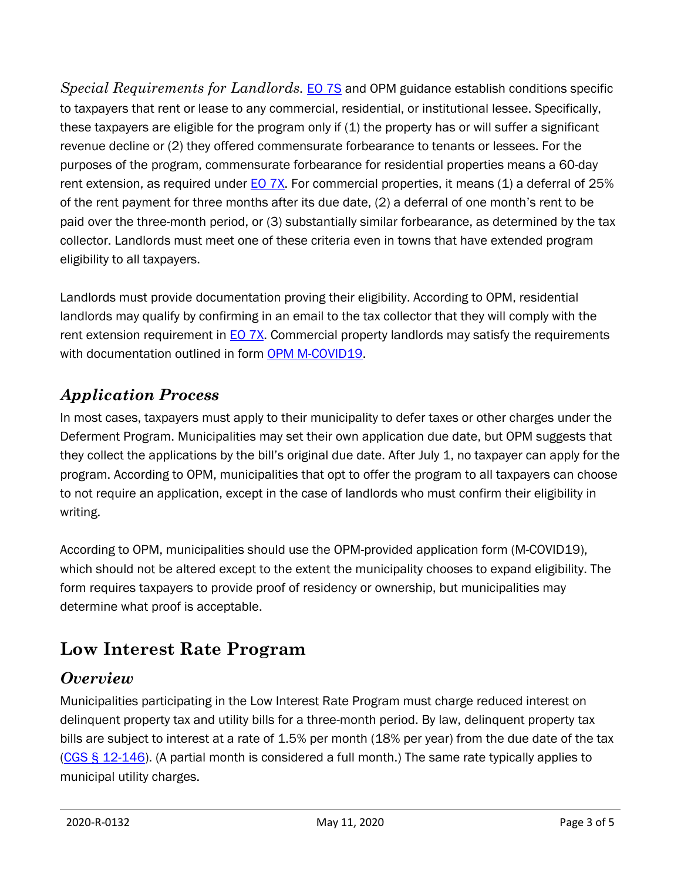*Special Requirements for Landlords.* [EO 7S](https://portal.ct.gov/-/media/Office-of-the-Governor/Executive-Orders/Lamont-Executive-Orders/Executive-Order-No-7S.pdf) and OPM guidance establish conditions specific to taxpayers that rent or lease to any commercial, residential, or institutional lessee. Specifically, these taxpayers are eligible for the program only if (1) the property has or will suffer a significant revenue decline or (2) they offered commensurate forbearance to tenants or lessees. For the purposes of the program, commensurate forbearance for residential properties means a 60-day rent extension, as required under [EO](https://portal.ct.gov/-/media/Office-of-the-Governor/Executive-Orders/Lamont-Executive-Orders/Executive-Order-No-7X.pdf) 7X. For commercial properties, it means (1) a deferral of 25% of the rent payment for three months after its due date, (2) a deferral of one month's rent to be paid over the three-month period, or (3) substantially similar forbearance, as determined by the tax collector. Landlords must meet one of these criteria even in towns that have extended program eligibility to all taxpayers.

Landlords must provide documentation proving their eligibility. According to OPM, residential landlords may qualify by confirming in an email to the tax collector that they will comply with the rent extension requirement in **EO 7X.** Commercial property landlords may satisfy the requirements with documentation outlined in form [OPM M-COVID19.](https://portal.ct.gov/-/media/OPM/IGPP-Data-Grants-Mgmt/COVID19-IGPP-Documents/Municipal-Tax-Relief-Deferral-Form-M-COVID19.pdf?la=en)

### *Application Process*

In most cases, taxpayers must apply to their municipality to defer taxes or other charges under the Deferment Program. Municipalities may set their own application due date, but OPM suggests that they collect the applications by the bill's original due date. After July 1, no taxpayer can apply for the program. According to OPM, municipalities that opt to offer the program to all taxpayers can choose to not require an application, except in the case of landlords who must confirm their eligibility in writing.

According to OPM, municipalities should use the OPM-provided application form (M-COVID19), which should not be altered except to the extent the municipality chooses to expand eligibility. The form requires taxpayers to provide proof of residency or ownership, but municipalities may determine what proof is acceptable.

# **Low Interest Rate Program**

#### *Overview*

Municipalities participating in the Low Interest Rate Program must charge reduced interest on delinquent property tax and utility bills for a three-month period. By law, delinquent property tax bills are subject to interest at a rate of 1.5% per month (18% per year) from the due date of the tax (CGS § [12-146\)](https://www.cga.ct.gov/current/pub/chap_204.htm#sec_12-146). (A partial month is considered a full month.) The same rate typically applies to municipal utility charges.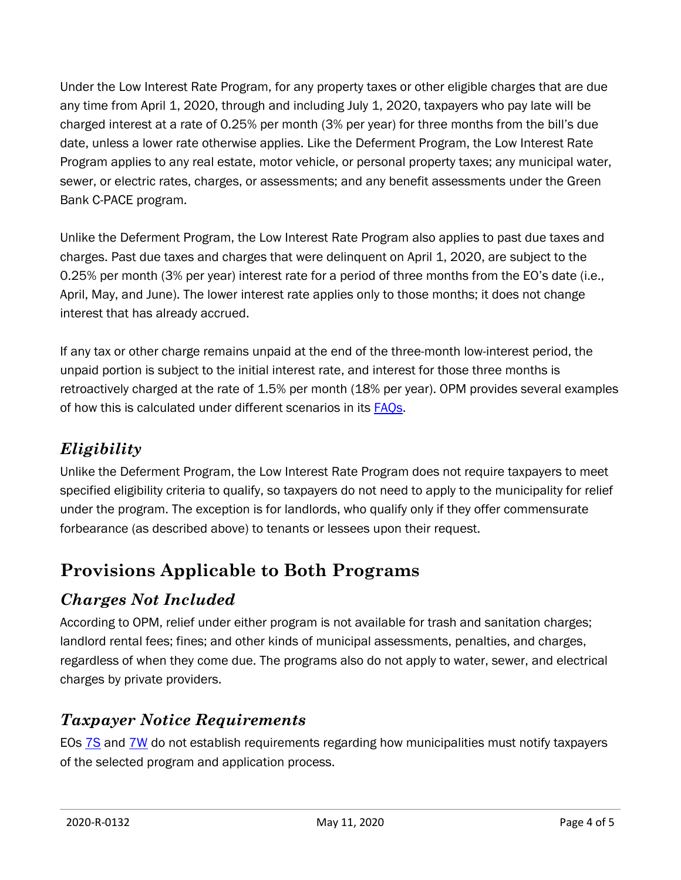Under the Low Interest Rate Program, for any property taxes or other eligible charges that are due any time from April 1, 2020, through and including July 1, 2020, taxpayers who pay late will be charged interest at a rate of 0.25% per month (3% per year) for three months from the bill's due date, unless a lower rate otherwise applies. Like the Deferment Program, the Low Interest Rate Program applies to any real estate, motor vehicle, or personal property taxes; any municipal water, sewer, or electric rates, charges, or assessments; and any benefit assessments under the Green Bank C-PACE program.

Unlike the Deferment Program, the Low Interest Rate Program also applies to past due taxes and charges. Past due taxes and charges that were delinquent on April 1, 2020, are subject to the 0.25% per month (3% per year) interest rate for a period of three months from the EO's date (i.e., April, May, and June). The lower interest rate applies only to those months; it does not change interest that has already accrued.

If any tax or other charge remains unpaid at the end of the three-month low-interest period, the unpaid portion is subject to the initial interest rate, and interest for those three months is retroactively charged at the rate of 1.5% per month (18% per year). OPM provides several examples of how this is calculated under different scenarios in its [FAQs.](https://portal.ct.gov/-/media/OPM/IGPP-Data-Grants-Mgmt/COVID19-IGPP-Documents/EO-7S-and-7W-FAQ-DocumentRevised04-25-2020.pdf?la=en)

# *Eligibility*

Unlike the Deferment Program, the Low Interest Rate Program does not require taxpayers to meet specified eligibility criteria to qualify, so taxpayers do not need to apply to the municipality for relief under the program. The exception is for landlords, who qualify only if they offer commensurate forbearance (as described above) to tenants or lessees upon their request.

# **Provisions Applicable to Both Programs**

# *Charges Not Included*

According to OPM, relief under either program is not available for trash and sanitation charges; landlord rental fees; fines; and other kinds of municipal assessments, penalties, and charges, regardless of when they come due. The programs also do not apply to water, sewer, and electrical charges by private providers.

# *Taxpayer Notice Requirements*

EOs **7S** and **7W** do not establish requirements regarding how municipalities must notify taxpayers of the selected program and application process.